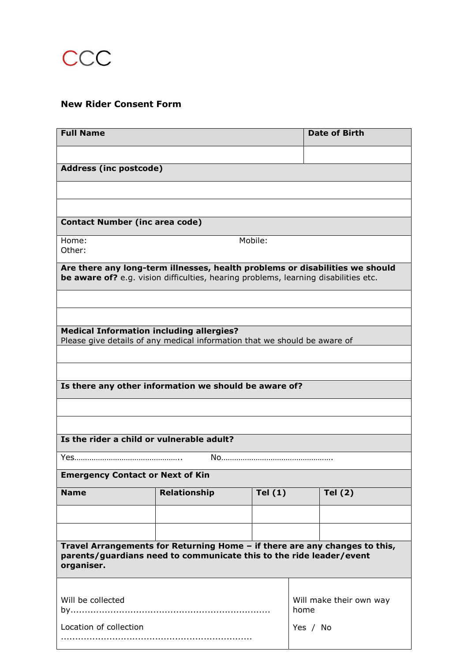

## **New Rider Consent Form**

| <b>Full Name</b>                                                                                                                                                    |                     |           |                                 | <b>Date of Birth</b> |
|---------------------------------------------------------------------------------------------------------------------------------------------------------------------|---------------------|-----------|---------------------------------|----------------------|
|                                                                                                                                                                     |                     |           |                                 |                      |
| <b>Address (inc postcode)</b>                                                                                                                                       |                     |           |                                 |                      |
|                                                                                                                                                                     |                     |           |                                 |                      |
|                                                                                                                                                                     |                     |           |                                 |                      |
| <b>Contact Number (inc area code)</b>                                                                                                                               |                     |           |                                 |                      |
| Home:<br>Other:                                                                                                                                                     | Mobile:             |           |                                 |                      |
| Are there any long-term illnesses, health problems or disabilities we should<br>be aware of? e.g. vision difficulties, hearing problems, learning disabilities etc. |                     |           |                                 |                      |
|                                                                                                                                                                     |                     |           |                                 |                      |
|                                                                                                                                                                     |                     |           |                                 |                      |
| <b>Medical Information including allergies?</b><br>Please give details of any medical information that we should be aware of                                        |                     |           |                                 |                      |
|                                                                                                                                                                     |                     |           |                                 |                      |
| Is there any other information we should be aware of?                                                                                                               |                     |           |                                 |                      |
|                                                                                                                                                                     |                     |           |                                 |                      |
|                                                                                                                                                                     |                     |           |                                 |                      |
| Is the rider a child or vulnerable adult?                                                                                                                           |                     |           |                                 |                      |
|                                                                                                                                                                     |                     |           |                                 |                      |
| <b>Emergency Contact or Next of Kin</b>                                                                                                                             |                     |           |                                 |                      |
| <b>Name</b>                                                                                                                                                         | <b>Relationship</b> | Tel $(1)$ |                                 | Tel $(2)$            |
|                                                                                                                                                                     |                     |           |                                 |                      |
|                                                                                                                                                                     |                     |           |                                 |                      |
| Travel Arrangements for Returning Home - if there are any changes to this,<br>parents/guardians need to communicate this to the ride leader/event<br>organiser.     |                     |           |                                 |                      |
|                                                                                                                                                                     |                     |           |                                 |                      |
| Will be collected                                                                                                                                                   |                     |           | Will make their own way<br>home |                      |
| Location of collection                                                                                                                                              |                     |           | Yes / No                        |                      |
|                                                                                                                                                                     |                     |           |                                 |                      |